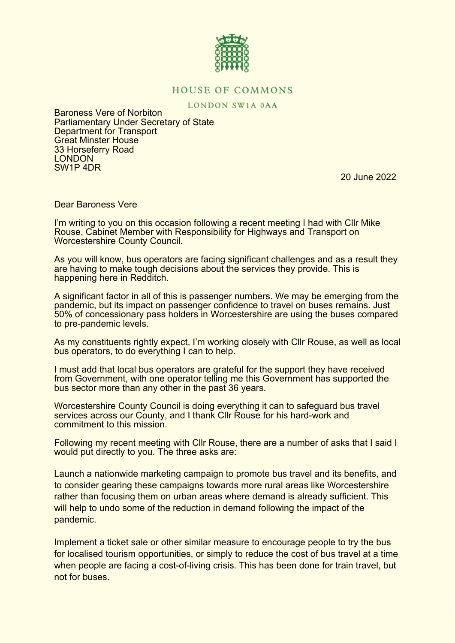

## **HOUSE OF COMMONS**

LONDON SW1A 0AA

Baroness Vere of Norbiton Parliamentary Under Secretary of State Department for Transport Great Minster House 33 Horseferry Road **LONDON** SW1P 4DR

20 June 2022

Dear Baroness Vere

I'm writing to you on this occasion following a recent meeting I had with Cllr Mike Rouse, Cabinet Member with Responsibility for Highways and Transport on Worcestershire County Council.

As you will know, bus operators are facing significant challenges and as a result they are having to make tough decisions about the services they provide. This is happening here in Redditch.

A significant factor in all of this is passenger numbers. We may be emerging from the pandemic, but its impact on passenger confidence to travel on buses remains. Just 50% of concessionary pass holders in Worcestershire are using the buses compared to pre-pandemic levels.

As my constituents rightly expect, I'm working closely with Cllr Rouse, as well as local bus operators, to do everything I can to help.

I must add that local bus operators are grateful for the support they have received from Government, with one operator telling me this Government has supported the bus sector more than any other in the past 36 years.

Worcestershire County Council is doing everything it can to safeguard bus travel services across our County, and I thank Cllr Rouse for his hard-work and commitment to this mission.

Following my recent meeting with Cllr Rouse, there are a number of asks that I said I would put directly to you. The three asks are:

Launch a nationwide marketing campaign to promote bus travel and its benefits, and to consider gearing these campaigns towards more rural areas like Worcestershire rather than focusing them on urban areas where demand is already sufficient. This will help to undo some of the reduction in demand following the impact of the pandemic.

Implement a ticket sale or other similar measure to encourage people to try the bus for localised tourism opportunities, or simply to reduce the cost of bus travel at a time when people are facing a cost-of-living crisis. This has been done for train travel, but not for buses.